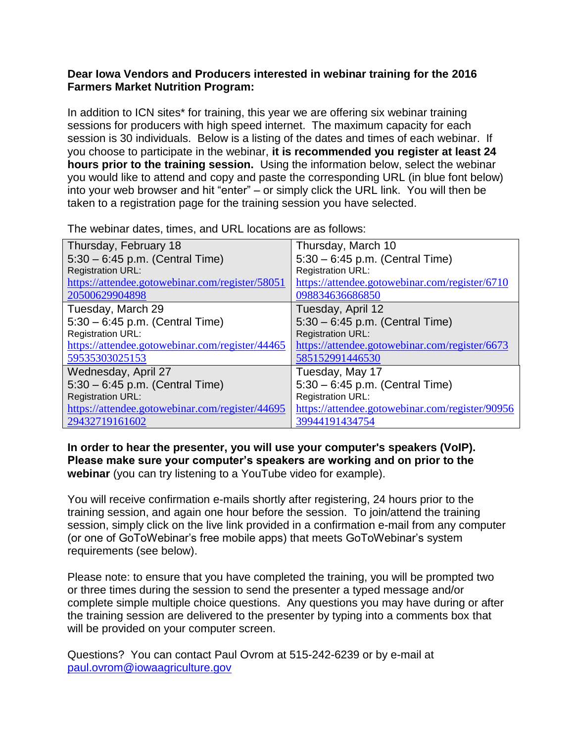## **Dear Iowa Vendors and Producers interested in webinar training for the 2016 Farmers Market Nutrition Program:**

In addition to ICN sites\* for training, this year we are offering six webinar training sessions for producers with high speed internet. The maximum capacity for each session is 30 individuals. Below is a listing of the dates and times of each webinar. If you choose to participate in the webinar, **it is recommended you register at least 24 hours prior to the training session.** Using the information below, select the webinar you would like to attend and copy and paste the corresponding URL (in blue font below) into your web browser and hit "enter" – or simply click the URL link. You will then be taken to a registration page for the training session you have selected.

| Thursday, February 18                           | Thursday, March 10                              |
|-------------------------------------------------|-------------------------------------------------|
| $5:30 - 6:45$ p.m. (Central Time)               | 5:30 - 6:45 p.m. (Central Time)                 |
| <b>Registration URL:</b>                        | <b>Registration URL:</b>                        |
| https://attendee.gotowebinar.com/register/58051 | https://attendee.gotowebinar.com/register/6710  |
| 20500629904898                                  | 098834636686850                                 |
| Tuesday, March 29                               | Tuesday, April 12                               |
| $5:30 - 6:45$ p.m. (Central Time)               | $5:30 - 6:45$ p.m. (Central Time)               |
| <b>Registration URL:</b>                        | <b>Registration URL:</b>                        |
| https://attendee.gotowebinar.com/register/44465 | https://attendee.gotowebinar.com/register/6673  |
| 59535303025153                                  | 585152991446530                                 |
| Wednesday, April 27                             | Tuesday, May 17                                 |
| $5:30 - 6:45$ p.m. (Central Time)               | $5:30 - 6:45$ p.m. (Central Time)               |
| <b>Registration URL:</b>                        | <b>Registration URL:</b>                        |
| https://attendee.gotowebinar.com/register/44695 | https://attendee.gotowebinar.com/register/90956 |
| 29432719161602                                  | 39944191434754                                  |

The webinar dates, times, and URL locations are as follows:

**In order to hear the presenter, you will use your computer's speakers (VoIP). Please make sure your computer's speakers are working and on prior to the webinar** (you can try listening to a YouTube video for example).

You will receive confirmation e-mails shortly after registering, 24 hours prior to the training session, and again one hour before the session. To join/attend the training session, simply click on the live link provided in a confirmation e-mail from any computer (or one of GoToWebinar's free mobile apps) that meets GoToWebinar's system requirements (see below).

Please note: to ensure that you have completed the training, you will be prompted two or three times during the session to send the presenter a typed message and/or complete simple multiple choice questions. Any questions you may have during or after the training session are delivered to the presenter by typing into a comments box that will be provided on your computer screen.

Questions? You can contact Paul Ovrom at 515-242-6239 or by e-mail at [paul.ovrom@iowaagriculture.gov](mailto:paul.ovrom@iowaagriculture.gov)